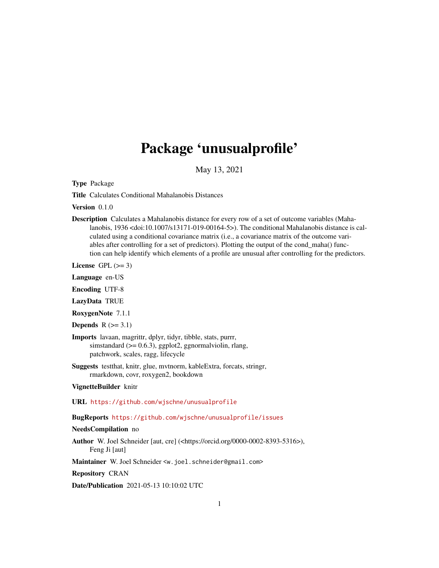# Package 'unusualprofile'

May 13, 2021

Type Package

Title Calculates Conditional Mahalanobis Distances

Version 0.1.0

Description Calculates a Mahalanobis distance for every row of a set of outcome variables (Mahalanobis, 1936 <doi:10.1007/s13171-019-00164-5>). The conditional Mahalanobis distance is calculated using a conditional covariance matrix (i.e., a covariance matrix of the outcome variables after controlling for a set of predictors). Plotting the output of the cond\_maha() function can help identify which elements of a profile are unusual after controlling for the predictors.

License GPL  $(>= 3)$ 

Language en-US

Encoding UTF-8

LazyData TRUE

RoxygenNote 7.1.1

```
Depends R (>= 3.1)
```
- Imports lavaan, magrittr, dplyr, tidyr, tibble, stats, purrr, simstandard  $(>= 0.6.3)$ , ggplot2, ggnormalviolin, rlang, patchwork, scales, ragg, lifecycle
- Suggests testthat, knitr, glue, mvtnorm, kableExtra, forcats, stringr, rmarkdown, covr, roxygen2, bookdown

#### VignetteBuilder knitr

URL <https://github.com/wjschne/unusualprofile>

BugReports <https://github.com/wjschne/unusualprofile/issues>

#### NeedsCompilation no

Author W. Joel Schneider [aut, cre] (<https://orcid.org/0000-0002-8393-5316>), Feng Ji [aut]

Maintainer W. Joel Schneider <w.joel.schneider@gmail.com>

Repository CRAN

Date/Publication 2021-05-13 10:10:02 UTC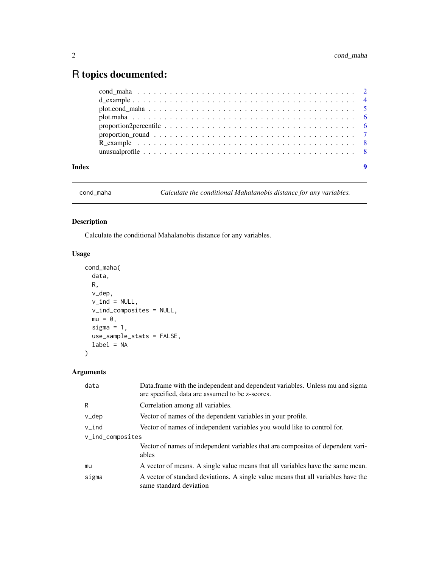## <span id="page-1-0"></span>R topics documented:

| Index | 9 |
|-------|---|

cond\_maha *Calculate the conditional Mahalanobis distance for any variables.*

#### Description

Calculate the conditional Mahalanobis distance for any variables.

#### Usage

```
cond_maha(
  data,
 R,
 v_dep,
 v\_ind = NULL,v_ind_composites = NULL,
 mu = 0,
 sigma = 1,
 use_sample_stats = FALSE,
  label = NA)
```
### Arguments

| data             | Data.frame with the independent and dependent variables. Unless mu and sigma<br>are specified, data are assumed to be z-scores. |  |
|------------------|---------------------------------------------------------------------------------------------------------------------------------|--|
| R                | Correlation among all variables.                                                                                                |  |
| v_dep            | Vector of names of the dependent variables in your profile.                                                                     |  |
| v_ind            | Vector of names of independent variables you would like to control for.                                                         |  |
| v_ind_composites |                                                                                                                                 |  |
|                  | Vector of names of independent variables that are composites of dependent vari-<br>ables                                        |  |
| mu               | A vector of means. A single value means that all variables have the same mean.                                                  |  |
| sigma            | A vector of standard deviations. A single value means that all variables have the<br>same standard deviation                    |  |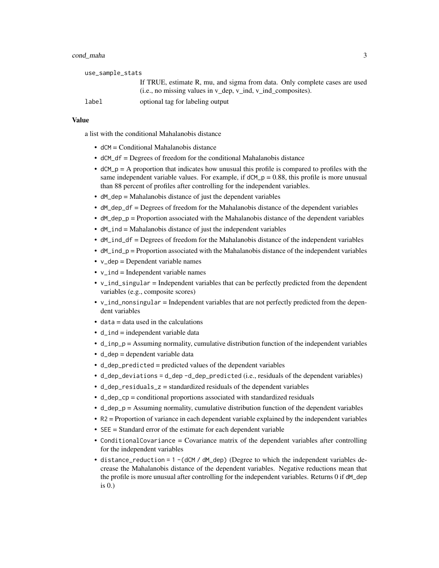#### cond\_maha 3

| use_sample_stats |                                                                            |
|------------------|----------------------------------------------------------------------------|
|                  | If TRUE, estimate R, mu, and sigma from data. Only complete cases are used |
|                  | (i.e., no missing values in $v$ dep, $v$ ind, $v$ ind composites).         |
| label            | optional tag for labeling output                                           |

#### Value

a list with the conditional Mahalanobis distance

- dCM = Conditional Mahalanobis distance
- dCM\_df = Degrees of freedom for the conditional Mahalanobis distance
- $\bullet$  dCM<sub>-</sub>p = A proportion that indicates how unusual this profile is compared to profiles with the same independent variable values. For example, if  $dCM_p = 0.88$ , this profile is more unusual than 88 percent of profiles after controlling for the independent variables.
- dM\_dep = Mahalanobis distance of just the dependent variables
- dM\_dep\_df = Degrees of freedom for the Mahalanobis distance of the dependent variables
- dM\_dep\_p = Proportion associated with the Mahalanobis distance of the dependent variables
- dM\_ind = Mahalanobis distance of just the independent variables
- dM\_ind\_df = Degrees of freedom for the Mahalanobis distance of the independent variables
- dM\_ind\_p = Proportion associated with the Mahalanobis distance of the independent variables
- v\_dep = Dependent variable names
- $\bullet$  v\_ind = Independent variable names
- v\_ind\_singular = Independent variables that can be perfectly predicted from the dependent variables (e.g., composite scores)
- v\_ind\_nonsingular = Independent variables that are not perfectly predicted from the dependent variables
- $\bullet$  data = data used in the calculations
- $\bullet$  d\_ind = independent variable data
- d\_inp\_p = Assuming normality, cumulative distribution function of the independent variables
- d\_dep = dependent variable data
- d\_dep\_predicted = predicted values of the dependent variables
- d\_dep\_deviations = d\_dep -d\_dep\_predicted (i.e., residuals of the dependent variables)
- d\_dep\_residuals\_z = standardized residuals of the dependent variables
- d\_dep\_cp = conditional proportions associated with standardized residuals
- $\bullet$  d\_dep\_p = Assuming normality, cumulative distribution function of the dependent variables
- R2 = Proportion of variance in each dependent variable explained by the independent variables
- SEE = Standard error of the estimate for each dependent variable
- ConditionalCovariance = Covariance matrix of the dependent variables after controlling for the independent variables
- distance\_reduction =  $1 (dCM / dM_dep)$  (Degree to which the independent variables decrease the Mahalanobis distance of the dependent variables. Negative reductions mean that the profile is more unusual after controlling for the independent variables. Returns 0 if dM\_dep is 0.)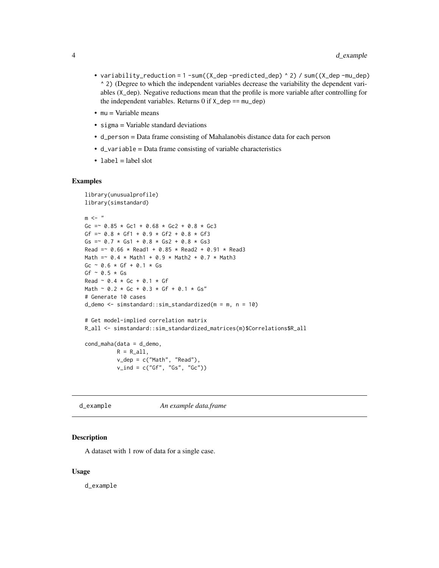- <span id="page-3-0"></span>• variability\_reduction = 1 -sum((X\_dep -predicted\_dep) ^ 2) / sum((X\_dep -mu\_dep) ^ 2) (Degree to which the independent variables decrease the variability the dependent variables (X\_dep). Negative reductions mean that the profile is more variable after controlling for the independent variables. Returns  $0$  if  $X_d$  dep ==  $mu_d$ ep)
- $emu = \text{Variable means}$
- sigma = Variable standard deviations
- d\_person = Data frame consisting of Mahalanobis distance data for each person
- d\_variable = Data frame consisting of variable characteristics
- $\bullet$  label = label slot

#### Examples

```
library(unusualprofile)
library(simstandard)
m < -"
Gc = \degree 0.85 * Gc1 + 0.68 * Gc2 + 0.8 * Gc3
Gf = 0.8 * Gf1 + 0.9 * Gf2 + 0.8 * Gf3Gs = 0.7 * Gs1 + 0.8 * Gs2 + 0.8 * Gs3Read =~ 0.66 * Read1 + 0.85 * Read2 + 0.91 * Read3
Math =~ 0.4 \times Math1 + 0.9 \times Math2 + 0.7 \times Math3
Gc \sim 0.6 * Gf + 0.1 * Gs
Gf \sim 0.5 * GsRead \sim 0.4 * Gc + 0.1 * Gf
Math ~ 0.2 * Gc + 0.3 * Gf + 0.1 * Gs"
# Generate 10 cases
d_demo <- simstandard::sim_standardized(m = m, n = 10)
# Get model-implied correlation matrix
R_all <- simstandard::sim_standardized_matrices(m)$Correlations$R_all
cond_maha(data = d_demo,
          R = R_all,v_dep = c("Math", "Read"),
          v_ind = c("Gf", "Gs", "Gc"))
```
d\_example *An example data.frame*

#### Description

A dataset with 1 row of data for a single case.

#### Usage

d\_example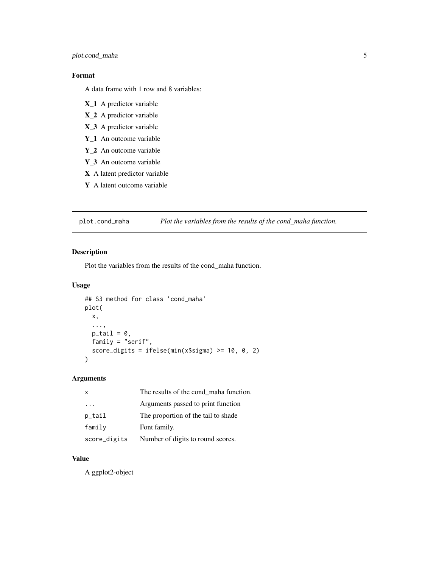#### <span id="page-4-0"></span>plot.cond\_maha 5

#### Format

A data frame with 1 row and 8 variables:

- X\_1 A predictor variable
- X\_2 A predictor variable
- X\_3 A predictor variable
- Y\_1 An outcome variable
- Y\_2 An outcome variable
- Y\_3 An outcome variable
- X A latent predictor variable
- Y A latent outcome variable

plot.cond\_maha *Plot the variables from the results of the cond\_maha function.*

#### Description

Plot the variables from the results of the cond\_maha function.

#### Usage

```
## S3 method for class 'cond_maha'
plot(
 x,
  ...,
 p\_tail = 0,
  family = "serif",
  score_digits = ifelse(min(x$sigma) >= 10, 0, 2)
)
```
#### Arguments

| $\mathsf{x}$ | The results of the cond_maha function. |
|--------------|----------------------------------------|
| .            | Arguments passed to print function     |
| p_tail       | The proportion of the tail to shade    |
| family       | Font family.                           |
| score_digits | Number of digits to round scores.      |

#### Value

A ggplot2-object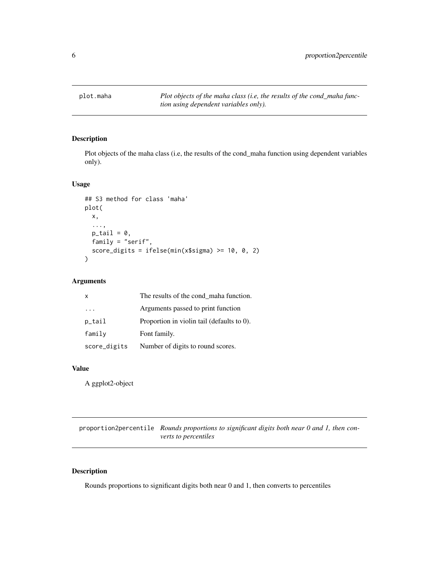<span id="page-5-0"></span>

#### Description

Plot objects of the maha class (i.e, the results of the cond\_maha function using dependent variables only).

#### Usage

```
## S3 method for class 'maha'
plot(
 x,
  ...,
 p\_tail = 0,
 family = "serif",
  score_digits = ifelse(min(x$sigma) >= 10, 0, 2)
)
```
#### Arguments

| $\mathsf{x}$ | The results of the cond_maha function.     |
|--------------|--------------------------------------------|
| $\cdots$     | Arguments passed to print function         |
| p_tail       | Proportion in violin tail (defaults to 0). |
| family       | Font family.                               |
| score_digits | Number of digits to round scores.          |

#### Value

A ggplot2-object

proportion2percentile *Rounds proportions to significant digits both near 0 and 1, then converts to percentiles*

#### Description

Rounds proportions to significant digits both near 0 and 1, then converts to percentiles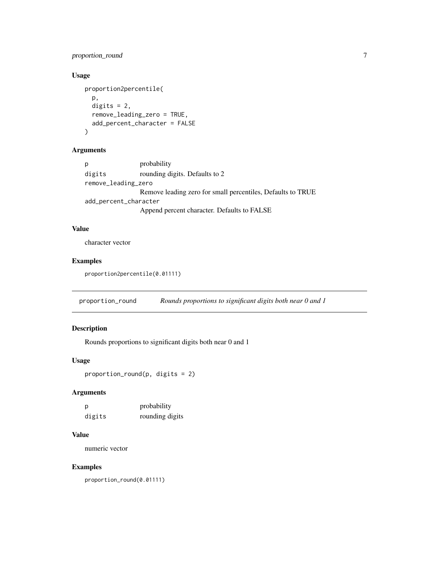#### <span id="page-6-0"></span>proportion\_round 7

#### Usage

```
proportion2percentile(
  p,
  digits = 2,
  remove_leading_zero = TRUE,
  add_percent_character = FALSE
)
```
#### Arguments

```
p probability
digits rounding digits. Defaults to 2
remove_leading_zero
               Remove leading zero for small percentiles, Defaults to TRUE
add_percent_character
               Append percent character. Defaults to FALSE
```
#### Value

character vector

#### Examples

proportion2percentile(0.01111)

proportion\_round *Rounds proportions to significant digits both near 0 and 1*

#### Description

Rounds proportions to significant digits both near 0 and 1

#### Usage

```
proportion_round(p, digits = 2)
```
#### Arguments

| p      | probability     |
|--------|-----------------|
| digits | rounding digits |

#### Value

numeric vector

#### Examples

proportion\_round(0.01111)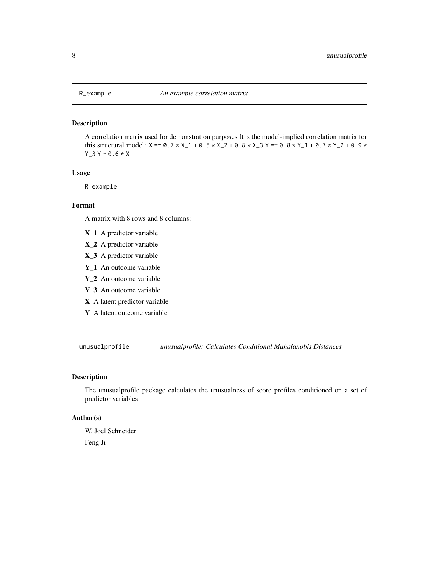<span id="page-7-0"></span>

#### Description

A correlation matrix used for demonstration purposes It is the model-implied correlation matrix for this structural model:  $X = \infty$ ,  $0.7 \times X$ \_1 + 0.5  $\times X$ \_2 + 0.8  $\times X$ \_3 Y =  $\infty$  0.8  $\times Y$ \_1 + 0.7  $\times Y$ \_2 + 0.9  $\times$  $Y_3 Y \sim 0.6 * X$ 

#### Usage

R\_example

#### Format

A matrix with 8 rows and 8 columns:

- X\_1 A predictor variable
- X\_2 A predictor variable
- X\_3 A predictor variable
- Y\_1 An outcome variable
- Y\_2 An outcome variable
- Y\_3 An outcome variable
- X A latent predictor variable
- Y A latent outcome variable

unusualprofile *unusualprofile: Calculates Conditional Mahalanobis Distances*

#### Description

The unusualprofile package calculates the unusualness of score profiles conditioned on a set of predictor variables

#### Author(s)

W. Joel Schneider

Feng Ji